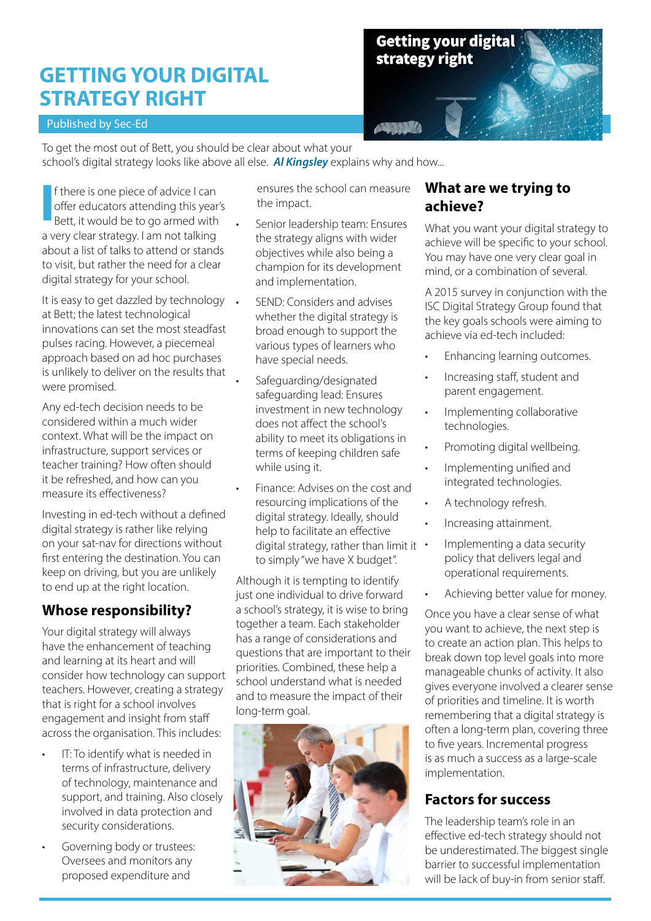# **GETTING YOUR DIGITAL STRATEGY RIGHT**

#### Published by Sec-Ed



To get the most out of Bett, you should be clear about what your

school's digital strategy looks like above all else. *Al Kingsley* explains why and how...

f there is one piece of advice I can offer educators attending this year's Bett, it would be to go armed with **I** a very clear strategy. I am not talking about a list of talks to attend or stands to visit, but rather the need for a clear digital strategy for your school.

It is easy to get dazzled by technology . at Bett; the latest technological innovations can set the most steadfast pulses racing. However, a piecemeal approach based on ad hoc purchases is unlikely to deliver on the results that were promised.

Any ed-tech decision needs to be considered within a much wider context. What will be the impact on infrastructure, support services or teacher training? How often should it be refreshed, and how can you measure its effectiveness?

Investing in ed-tech without a defined digital strategy is rather like relying on your sat-nav for directions without first entering the destination. You can keep on driving, but you are unlikely to end up at the right location.

# **Whose responsibility?**

Your digital strategy will always have the enhancement of teaching and learning at its heart and will consider how technology can support teachers. However, creating a strategy that is right for a school involves engagement and insight from staff across the organisation. This includes:

- IT: To identify what is needed in terms of infrastructure, delivery of technology, maintenance and support, and training. Also closely involved in data protection and security considerations.
- Governing body or trustees: Oversees and monitors any proposed expenditure and

 ensures the school can measure the impact.

- Senior leadership team: Ensures the strategy aligns with wider objectives while also being a champion for its development and implementation.
- SEND: Considers and advises whether the digital strategy is broad enough to support the various types of learners who have special needs.
- Safeguarding/designated safeguarding lead: Ensures investment in new technology does not affect the school's ability to meet its obligations in terms of keeping children safe while using it.
- Finance: Advises on the cost and resourcing implications of the digital strategy. Ideally, should help to facilitate an effective digital strategy, rather than limit it • to simply "we have X budget".

Although it is tempting to identify just one individual to drive forward a school's strategy, it is wise to bring together a team. Each stakeholder has a range of considerations and questions that are important to their priorities. Combined, these help a school understand what is needed and to measure the impact of their long-term goal.



#### **What are we trying to achieve?**

What you want your digital strategy to achieve will be specific to your school. You may have one very clear goal in mind, or a combination of several.

A 2015 survey in conjunction with the ISC Digital Strategy Group found that the key goals schools were aiming to achieve via ed-tech included:

- Enhancing learning outcomes.
- Increasing staff, student and parent engagement.
- Implementing collaborative technologies.
- Promoting digital wellbeing.
- Implementing unified and integrated technologies.
- A technology refresh.
- Increasing attainment.
- Implementing a data security policy that delivers legal and operational requirements.
- Achieving better value for money.

Once you have a clear sense of what you want to achieve, the next step is to create an action plan. This helps to break down top level goals into more manageable chunks of activity. It also gives everyone involved a clearer sense of priorities and timeline. It is worth remembering that a digital strategy is often a long-term plan, covering three to five years. Incremental progress is as much a success as a large-scale implementation.

# **Factors for success**

The leadership team's role in an effective ed-tech strategy should not be underestimated. The biggest single barrier to successful implementation will be lack of buy-in from senior staff.